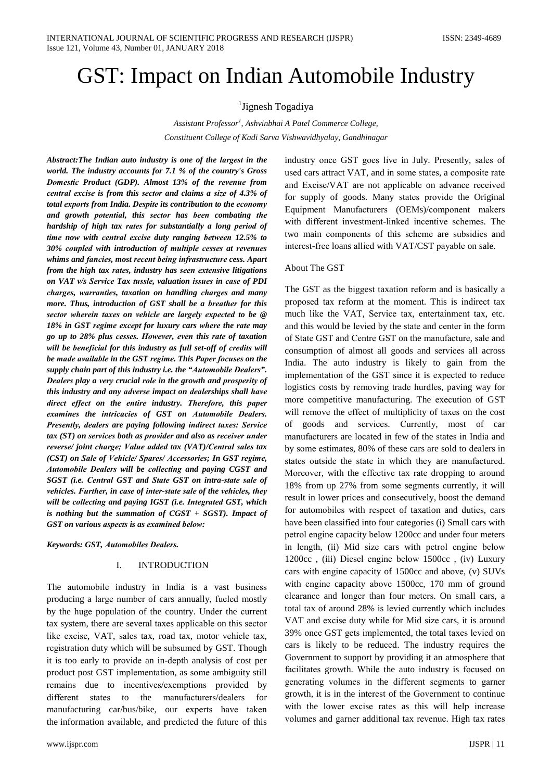# **GST:** Impact on Indian Automobile Industry

<sup>1</sup>Jignesh Togadiya

Assistant Professor<sup>1</sup>, Ashvinbhai A Patel Commerce College, Constituent College of Kadi Sarva Vishwavidhyalay, Gandhinagar

Abstract: The Indian auto industry is one of the largest in the world. The industry accounts for 7.1 % of the country's Gross Domestic Product (GDP). Almost 13% of the revenue from central excise is from this sector and claims a size of 4.3% of total exports from India. Despite its contribution to the economy and growth potential, this sector has been combating the hardship of high tax rates for substantially a long period of time now with central excise duty ranging between 12.5% to 30% coupled with introduction of multiple cesses at revenues whims and fancies, most recent being infrastructure cess. Apart from the high tax rates, industry has seen extensive litigations on VAT v/s Service Tax tussle, valuation issues in case of PDI charges, warranties, taxation on handling charges and many more. Thus, introduction of GST shall be a breather for this sector wherein taxes on vehicle are largely expected to be @ 18% in GST regime except for luxury cars where the rate may go up to 28% plus cesses. However, even this rate of taxation will be beneficial for this industry as full set-off of credits will be made available in the GST regime. This Paper focuses on the supply chain part of this industry i.e. the "Automobile Dealers". Dealers play a very crucial role in the growth and prosperity of this industry and any adverse impact on dealerships shall have direct effect on the entire industry. Therefore, this paper examines the intricacies of GST on Automobile Dealers. Presently, dealers are paying following indirect taxes: Service  $tax(ST)$  on services both as provider and also as receiver under reverse/ joint charge; Value added tax (VAT)/Central sales tax (CST) on Sale of Vehicle/ Spares/ Accessories; In GST regime, Automobile Dealers will be collecting and paying CGST and SGST (i.e. Central GST and State GST on intra-state sale of vehicles. Further, in case of inter-state sale of the vehicles, they will be collecting and paying IGST (i.e. Integrated GST, which is nothing but the summation of  $CGST + SGST$ . Impact of GST on various aspects is as examined below:

#### Keywords: GST, Automobiles Dealers.

#### $\mathbf{I}$ **INTRODUCTION**

The automobile industry in India is a vast business producing a large number of cars annually, fueled mostly by the huge population of the country. Under the current tax system, there are several taxes applicable on this sector like excise, VAT, sales tax, road tax, motor vehicle tax, registration duty which will be subsumed by GST. Though it is too early to provide an in-depth analysis of cost per product post GST implementation, as some ambiguity still remains due to incentives/exemptions provided by different states to the manufacturers/dealers  $for$ manufacturing car/bus/bike, our experts have taken the information available, and predicted the future of this

industry once GST goes live in July. Presently, sales of used cars attract VAT, and in some states, a composite rate and Excise/VAT are not applicable on advance received for supply of goods. Many states provide the Original Equipment Manufacturers (OEMs)/component makers with different investment-linked incentive schemes. The two main components of this scheme are subsidies and interest-free loans allied with VAT/CST payable on sale.

#### About The GST

The GST as the biggest taxation reform and is basically a proposed tax reform at the moment. This is indirect tax much like the VAT, Service tax, entertainment tax, etc. and this would be levied by the state and center in the form of State GST and Centre GST on the manufacture, sale and consumption of almost all goods and services all across India. The auto industry is likely to gain from the implementation of the GST since it is expected to reduce logistics costs by removing trade hurdles, paving way for more competitive manufacturing. The execution of GST will remove the effect of multiplicity of taxes on the cost of goods and services. Currently, most of car manufacturers are located in few of the states in India and by some estimates, 80% of these cars are sold to dealers in states outside the state in which they are manufactured. Moreover, with the effective tax rate dropping to around 18% from up 27% from some segments currently, it will result in lower prices and consecutively, boost the demand for automobiles with respect of taxation and duties, cars have been classified into four categories (i) Small cars with petrol engine capacity below 1200cc and under four meters in length, (ii) Mid size cars with petrol engine below 1200cc, (iii) Diesel engine below 1500cc, (iv) Luxury cars with engine capacity of 1500cc and above, (v) SUVs with engine capacity above 1500cc, 170 mm of ground clearance and longer than four meters. On small cars, a total tax of around 28% is levied currently which includes VAT and excise duty while for Mid size cars, it is around 39% once GST gets implemented, the total taxes levied on cars is likely to be reduced. The industry requires the Government to support by providing it an atmosphere that facilitates growth. While the auto industry is focused on generating volumes in the different segments to garner growth, it is in the interest of the Government to continue with the lower excise rates as this will help increase volumes and garner additional tax revenue. High tax rates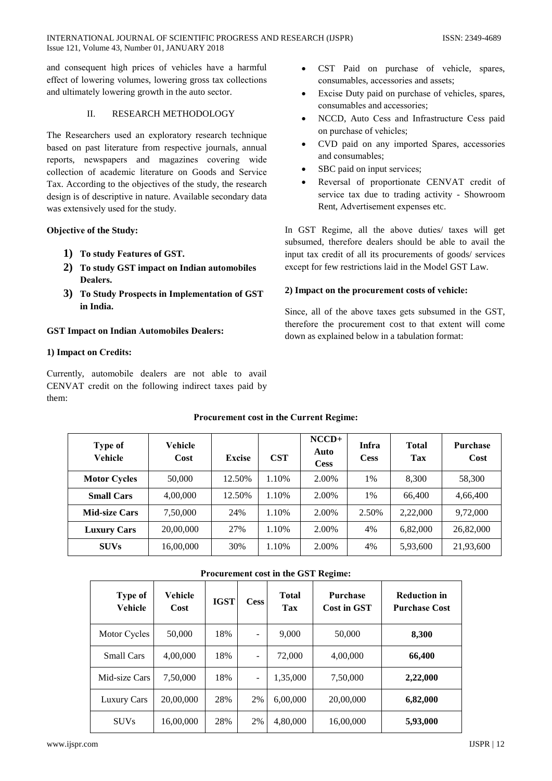and consequent high prices of vehicles have a harmful effect of lowering volumes, lowering gross tax collections and ultimately lowering growth in the auto sector.

#### $\Pi$ RESEARCH METHODOLOGY

The Researchers used an exploratory research technique based on past literature from respective journals, annual reports, newspapers and magazines covering wide collection of academic literature on Goods and Service Tax. According to the objectives of the study, the research design is of descriptive in nature. Available secondary data was extensively used for the study.

### **Objective of the Study:**

- 1) To study Features of GST.
- 2) To study GST impact on Indian automobiles Dealers.
- 3) To Study Prospects in Implementation of GST in India.

### **GST Impact on Indian Automobiles Dealers:**

### 1) Impact on Credits:

Currently, automobile dealers are not able to avail CENVAT credit on the following indirect taxes paid by them:

- CST Paid on purchase of vehicle, spares,  $\bullet$ consumables, accessories and assets;
- Excise Duty paid on purchase of vehicles, spares, consumables and accessories;
- NCCD, Auto Cess and Infrastructure Cess paid  $\bullet$ on purchase of vehicles;
- CVD paid on any imported Spares, accessories and consumables:
- SBC paid on input services:
- Reversal of proportionate CENVAT credit of service tax due to trading activity - Showroom Rent, Advertisement expenses etc.

In GST Regime, all the above duties/ taxes will get subsumed, therefore dealers should be able to avail the input tax credit of all its procurements of goods/ services except for few restrictions laid in the Model GST Law.

### 2) Impact on the procurement costs of vehicle:

Since, all of the above taxes gets subsumed in the GST, therefore the procurement cost to that extent will come down as explained below in a tabulation format:

| <b>Type of</b><br>Vehicle | Vehicle<br>Cost | <b>Excise</b> | <b>CST</b> | $NCCD+$<br>Auto<br><b>Cess</b> | <b>Infra</b><br><b>Cess</b> | <b>Total</b><br>Tax | <b>Purchase</b><br>Cost |
|---------------------------|-----------------|---------------|------------|--------------------------------|-----------------------------|---------------------|-------------------------|
| <b>Motor Cycles</b>       | 50,000          | 12.50%        | 1.10%      | 2.00%                          | 1%                          | 8,300               | 58,300                  |
| <b>Small Cars</b>         | 4,00,000        | 12.50%        | 1.10%      | 2.00%                          | 1%                          | 66,400              | 4,66,400                |
| <b>Mid-size Cars</b>      | 7,50,000        | 24%           | 1.10%      | 2.00%                          | 2.50%                       | 2,22,000            | 9,72,000                |
| <b>Luxury Cars</b>        | 20,00,000       | 27%           | 1.10%      | 2.00%                          | 4%                          | 6,82,000            | 26,82,000               |
| <b>SUVs</b>               | 16,00,000       | 30%           | 1.10%      | 2.00%                          | 4%                          | 5,93,600            | 21,93,600               |

#### Procurement cost in the Current Regime:

#### Procurement cost in the GST Regime:

| <b>Type of</b><br><b>Vehicle</b> | Vehicle<br>Cost | <b>IGST</b> | <b>Cess</b>       | <b>Total</b><br><b>Tax</b> | <b>Purchase</b><br>Cost in GST | <b>Reduction in</b><br><b>Purchase Cost</b> |
|----------------------------------|-----------------|-------------|-------------------|----------------------------|--------------------------------|---------------------------------------------|
| Motor Cycles                     | 50,000          | 18%         | $\qquad \qquad -$ | 9,000                      | 50,000                         | 8,300                                       |
| <b>Small Cars</b>                | 4,00,000        | 18%         | $\qquad \qquad -$ | 72,000                     | 4,00,000                       | 66,400                                      |
| Mid-size Cars                    | 7.50,000        | 18%         | $\qquad \qquad -$ | 1,35,000                   | 7.50.000                       | 2,22,000                                    |
| Luxury Cars                      | 20,00,000       | 28%         | 2%                | 6,00,000                   | 20,00,000                      | 6,82,000                                    |
| <b>SUVs</b>                      | 16,00,000       | 28%         | 2%                | 4,80,000                   | 16,00,000                      | 5,93,000                                    |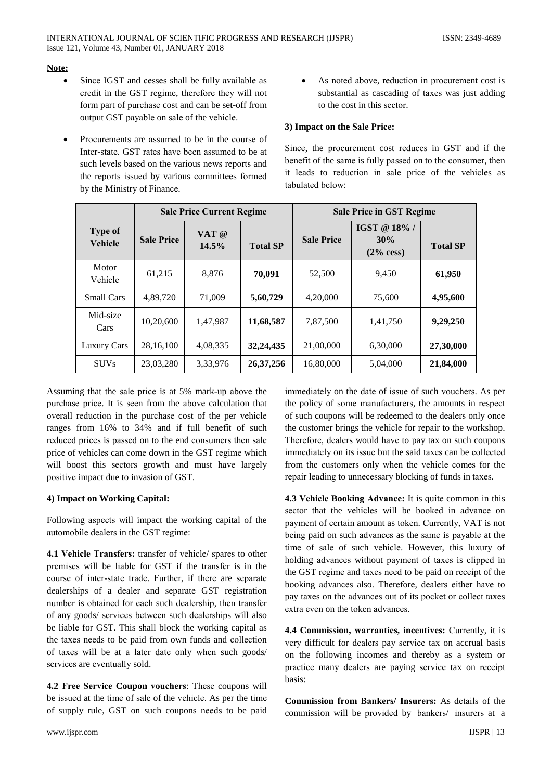#### Note:

- Since IGST and cesses shall be fully available as credit in the GST regime, therefore they will not form part of purchase cost and can be set-off from output GST payable on sale of the vehicle.
- Procurements are assumed to be in the course of Inter-state. GST rates have been assumed to be at such levels based on the various news reports and the reports issued by various committees formed by the Ministry of Finance.
- As noted above, reduction in procurement cost is substantial as cascading of taxes was just adding to the cost in this sector.

#### 3) Impact on the Sale Price:

Since, the procurement cost reduces in GST and if the benefit of the same is fully passed on to the consumer, then it leads to reduction in sale price of the vehicles as tabulated below:

|                                  |                   | <b>Sale Price Current Regime</b> |                 | <b>Sale Price in GST Regime</b> |                                     |                 |  |
|----------------------------------|-------------------|----------------------------------|-----------------|---------------------------------|-------------------------------------|-----------------|--|
| <b>Type of</b><br><b>Vehicle</b> | <b>Sale Price</b> | VAT $@$<br>14.5%                 | <b>Total SP</b> | <b>Sale Price</b>               | IGST @ 18% /<br>30%<br>$(2\%$ cess) | <b>Total SP</b> |  |
| Motor<br>Vehicle                 | 61,215            | 8,876                            | 70,091          | 52,500                          | 9.450                               | 61,950          |  |
| <b>Small Cars</b>                | 4,89,720          | 71,009                           | 5,60,729        | 4,20,000                        | 75,600                              | 4,95,600        |  |
| Mid-size<br>Cars                 | 10,20,600         | 1.47.987                         | 11,68,587       | 7,87,500                        | 1,41,750                            | 9,29,250        |  |
| Luxury Cars                      | 28,16,100         | 4,08,335                         | 32, 24, 435     | 21,00,000                       | 6,30,000                            | 27,30,000       |  |
| <b>SUVs</b>                      | 23,03,280         | 3,33,976                         | 26, 37, 256     | 16,80,000                       | 5,04,000                            | 21,84,000       |  |

Assuming that the sale price is at 5% mark-up above the purchase price. It is seen from the above calculation that overall reduction in the purchase cost of the per vehicle ranges from 16% to 34% and if full benefit of such reduced prices is passed on to the end consumers then sale price of vehicles can come down in the GST regime which will boost this sectors growth and must have largely positive impact due to invasion of GST.

#### 4) Impact on Working Capital:

Following aspects will impact the working capital of the automobile dealers in the GST regime:

4.1 Vehicle Transfers: transfer of vehicle/ spares to other premises will be liable for GST if the transfer is in the course of inter-state trade. Further, if there are separate dealerships of a dealer and separate GST registration number is obtained for each such dealership, then transfer of any goods/ services between such dealerships will also be liable for GST. This shall block the working capital as the taxes needs to be paid from own funds and collection of taxes will be at a later date only when such goods/ services are eventually sold.

4.2 Free Service Coupon vouchers: These coupons will be issued at the time of sale of the vehicle. As per the time of supply rule, GST on such coupons needs to be paid immediately on the date of issue of such vouchers. As per the policy of some manufacturers, the amounts in respect of such coupons will be redeemed to the dealers only once the customer brings the vehicle for repair to the workshop. Therefore, dealers would have to pay tax on such coupons immediately on its issue but the said taxes can be collected from the customers only when the vehicle comes for the repair leading to unnecessary blocking of funds in taxes.

4.3 Vehicle Booking Advance: It is quite common in this sector that the vehicles will be booked in advance on payment of certain amount as token. Currently, VAT is not being paid on such advances as the same is payable at the time of sale of such vehicle. However, this luxury of holding advances without payment of taxes is clipped in the GST regime and taxes need to be paid on receipt of the booking advances also. Therefore, dealers either have to pay taxes on the advances out of its pocket or collect taxes extra even on the token advances.

4.4 Commission, warranties, incentives: Currently, it is very difficult for dealers pay service tax on accrual basis on the following incomes and thereby as a system or practice many dealers are paying service tax on receipt hasis<sup>.</sup>

**Commission from Bankers/ Insurers:** As details of the commission will be provided by bankers/ insurers at a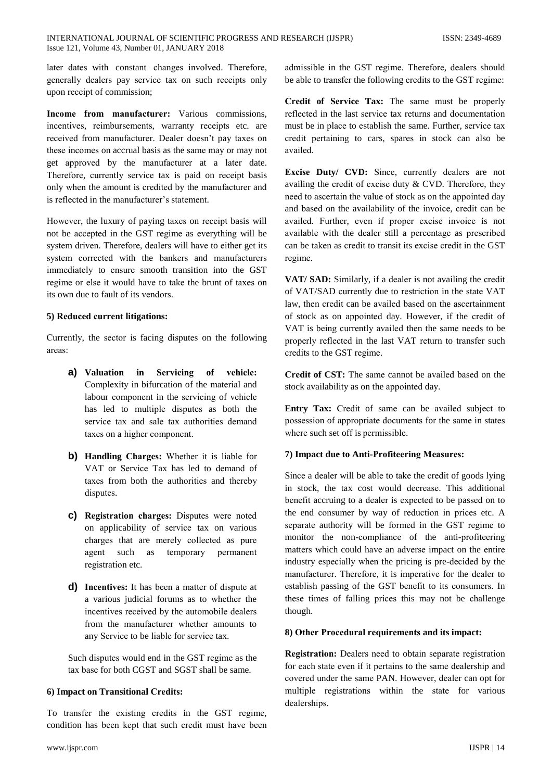later dates with constant changes involved. Therefore, generally dealers pay service tax on such receipts only upon receipt of commission;

Income from manufacturer: Various commissions, incentives, reimbursements, warranty receipts etc. are received from manufacturer. Dealer doesn't pay taxes on these incomes on accrual basis as the same may or may not get approved by the manufacturer at a later date. Therefore, currently service tax is paid on receipt basis only when the amount is credited by the manufacturer and is reflected in the manufacturer's statement.

However, the luxury of paying taxes on receipt basis will not be accepted in the GST regime as everything will be system driven. Therefore, dealers will have to either get its system corrected with the bankers and manufacturers immediately to ensure smooth transition into the GST regime or else it would have to take the brunt of taxes on its own due to fault of its vendors.

# 5) Reduced current litigations:

Currently, the sector is facing disputes on the following areas:

- a) Valuation in Servicing of vehicle: Complexity in bifurcation of the material and labour component in the servicing of vehicle has led to multiple disputes as both the service tax and sale tax authorities demand taxes on a higher component.
- b) Handling Charges: Whether it is liable for VAT or Service Tax has led to demand of taxes from both the authorities and thereby disputes.
- c) Registration charges: Disputes were noted on applicability of service tax on various charges that are merely collected as pure agent such as temporary permanent registration etc.
- **d**) Incentives: It has been a matter of dispute at a various judicial forums as to whether the incentives received by the automobile dealers from the manufacturer whether amounts to any Service to be liable for service tax.

Such disputes would end in the GST regime as the tax base for both CGST and SGST shall be same.

# 6) Impact on Transitional Credits:

To transfer the existing credits in the GST regime, condition has been kept that such credit must have been

admissible in the GST regime. Therefore, dealers should be able to transfer the following credits to the GST regime:

Credit of Service Tax: The same must be properly reflected in the last service tax returns and documentation must be in place to establish the same. Further, service tax credit pertaining to cars, spares in stock can also be availed.

Excise Duty/ CVD: Since, currently dealers are not availing the credit of excise duty  $&$  CVD. Therefore, they need to ascertain the value of stock as on the appointed day and based on the availability of the invoice, credit can be availed. Further, even if proper excise invoice is not available with the dealer still a percentage as prescribed can be taken as credit to transit its excise credit in the GST regime.

VAT/ SAD: Similarly, if a dealer is not availing the credit of VAT/SAD currently due to restriction in the state VAT law, then credit can be availed based on the ascertainment of stock as on appointed day. However, if the credit of VAT is being currently availed then the same needs to be properly reflected in the last VAT return to transfer such credits to the GST regime.

Credit of CST: The same cannot be availed based on the stock availability as on the appointed day.

Entry Tax: Credit of same can be availed subject to possession of appropriate documents for the same in states where such set off is permissible.

# 7) Impact due to Anti-Profiteering Measures:

Since a dealer will be able to take the credit of goods lying in stock, the tax cost would decrease. This additional benefit accruing to a dealer is expected to be passed on to the end consumer by way of reduction in prices etc. A separate authority will be formed in the GST regime to monitor the non-compliance of the anti-profiteering matters which could have an adverse impact on the entire industry especially when the pricing is pre-decided by the manufacturer. Therefore, it is imperative for the dealer to establish passing of the GST benefit to its consumers. In these times of falling prices this may not be challenge though.

## 8) Other Procedural requirements and its impact:

Registration: Dealers need to obtain separate registration for each state even if it pertains to the same dealership and covered under the same PAN. However, dealer can opt for multiple registrations within the state for various dealerships.